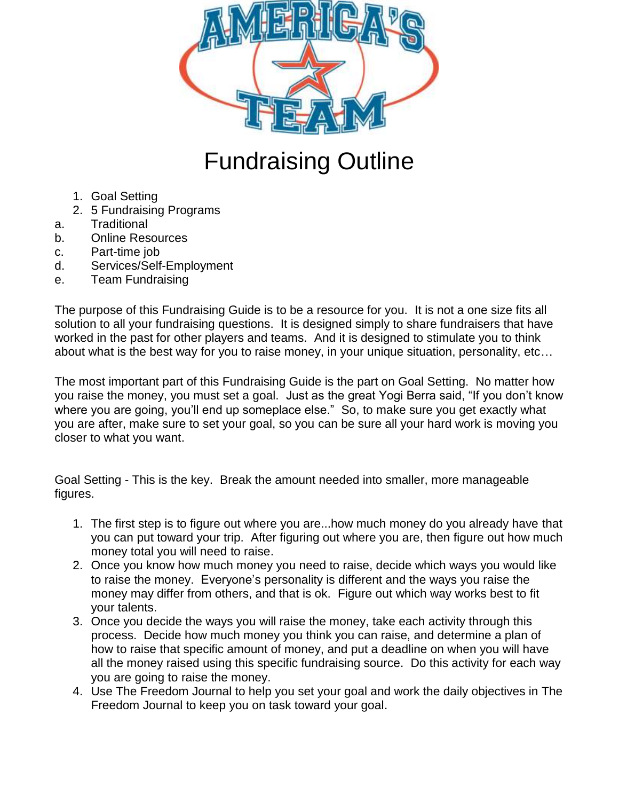

# Fundraising Outline

- 1. Goal Setting
- 2. 5 Fundraising Programs
- a. Traditional
- b. Online Resources
- c. Part-time job
- d. Services/Self-Employment
- e. Team Fundraising

The purpose of this Fundraising Guide is to be a resource for you. It is not a one size fits all solution to all your fundraising questions. It is designed simply to share fundraisers that have worked in the past for other players and teams. And it is designed to stimulate you to think about what is the best way for you to raise money, in your unique situation, personality, etc…

The most important part of this Fundraising Guide is the part on Goal Setting. No matter how you raise the money, you must set a goal. Just as the great Yogi Berra said, "If you don't know where you are going, you'll end up someplace else." So, to make sure you get exactly what you are after, make sure to set your goal, so you can be sure all your hard work is moving you closer to what you want.

Goal Setting - This is the key. Break the amount needed into smaller, more manageable figures.

- 1. The first step is to figure out where you are...how much money do you already have that you can put toward your trip. After figuring out where you are, then figure out how much money total you will need to raise.
- 2. Once you know how much money you need to raise, decide which ways you would like to raise the money. Everyone's personality is different and the ways you raise the money may differ from others, and that is ok. Figure out which way works best to fit your talents.
- 3. Once you decide the ways you will raise the money, take each activity through this process. Decide how much money you think you can raise, and determine a plan of how to raise that specific amount of money, and put a deadline on when you will have all the money raised using this specific fundraising source. Do this activity for each way you are going to raise the money.
- 4. Use The Freedom Journal to help you set your goal and work the daily objectives in The Freedom Journal to keep you on task toward your goal.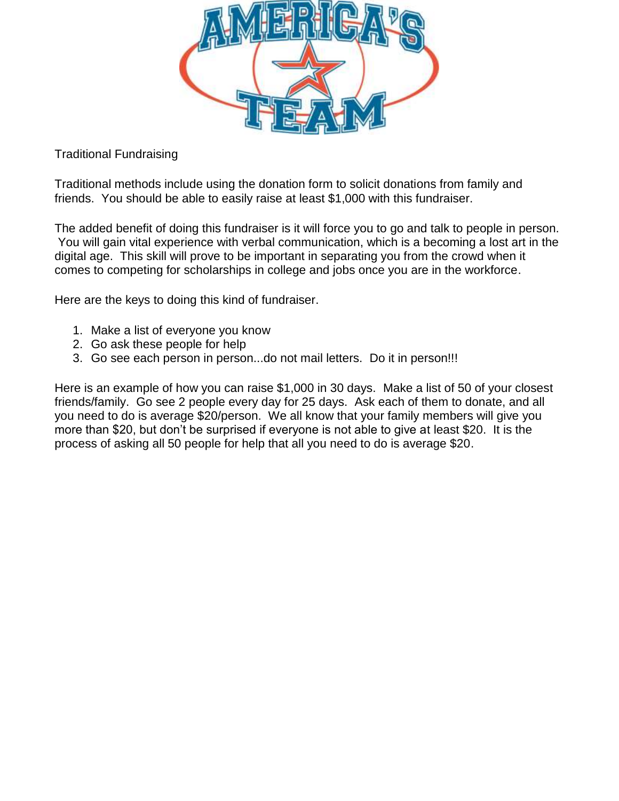

Traditional Fundraising

Traditional methods include using the donation form to solicit donations from family and friends. You should be able to easily raise at least \$1,000 with this fundraiser.

The added benefit of doing this fundraiser is it will force you to go and talk to people in person. You will gain vital experience with verbal communication, which is a becoming a lost art in the digital age. This skill will prove to be important in separating you from the crowd when it comes to competing for scholarships in college and jobs once you are in the workforce.

Here are the keys to doing this kind of fundraiser.

- 1. Make a list of everyone you know
- 2. Go ask these people for help
- 3. Go see each person in person...do not mail letters. Do it in person!!!

Here is an example of how you can raise \$1,000 in 30 days. Make a list of 50 of your closest friends/family. Go see 2 people every day for 25 days. Ask each of them to donate, and all you need to do is average \$20/person. We all know that your family members will give you more than \$20, but don't be surprised if everyone is not able to give at least \$20. It is the process of asking all 50 people for help that all you need to do is average \$20.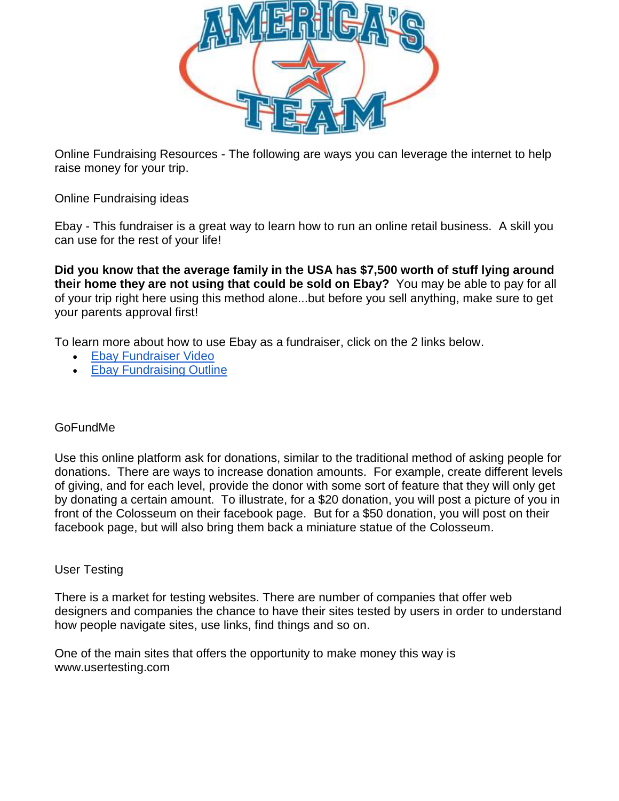

Online Fundraising Resources - The following are ways you can leverage the internet to help raise money for your trip.

Online Fundraising ideas

Ebay - This fundraiser is a great way to learn how to run an online retail business. A skill you can use for the rest of your life!

**Did you know that the average family in the USA has \$7,500 worth of stuff lying around their home they are not using that could be sold on Ebay?** You may be able to pay for all of your trip right here using this method alone...but before you sell anything, make sure to get your parents approval first!

To learn more about how to use Ebay as a fundraiser, click on the 2 links below.

- [Ebay Fundraiser Video](https://youtu.be/VJ89JquZBpc)
- [Ebay Fundraising Outline](http://docs.wixstatic.com/ugd/bc3240_09172720e2c24215bd4283d01f872f94.pdf)

## GoFundMe

Use this online platform ask for donations, similar to the traditional method of asking people for donations. There are ways to increase donation amounts. For example, create different levels of giving, and for each level, provide the donor with some sort of feature that they will only get by donating a certain amount. To illustrate, for a \$20 donation, you will post a picture of you in front of the Colosseum on their facebook page. But for a \$50 donation, you will post on their facebook page, but will also bring them back a miniature statue of the Colosseum.

## User Testing

There is a market for testing websites. There are number of companies that offer web designers and companies the chance to have their sites tested by users in order to understand how people navigate sites, use links, find things and so on.

One of the main sites that offers the opportunity to make money this way is www.usertesting.com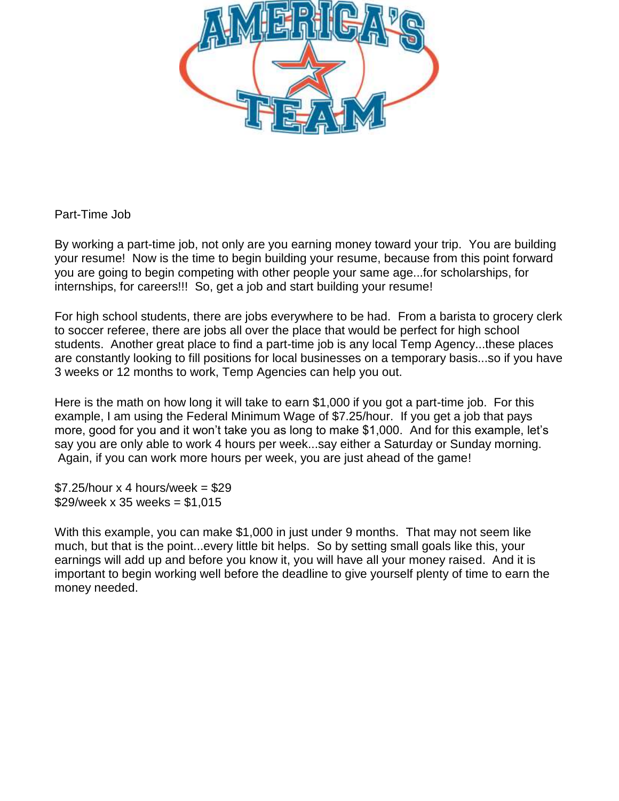

# Part-Time Job

By working a part-time job, not only are you earning money toward your trip. You are building your resume! Now is the time to begin building your resume, because from this point forward you are going to begin competing with other people your same age...for scholarships, for internships, for careers!!! So, get a job and start building your resume!

For high school students, there are jobs everywhere to be had. From a barista to grocery clerk to soccer referee, there are jobs all over the place that would be perfect for high school students. Another great place to find a part-time job is any local Temp Agency...these places are constantly looking to fill positions for local businesses on a temporary basis...so if you have 3 weeks or 12 months to work, Temp Agencies can help you out.

Here is the math on how long it will take to earn \$1,000 if you got a part-time job. For this example, I am using the Federal Minimum Wage of \$7.25/hour. If you get a job that pays more, good for you and it won't take you as long to make \$1,000. And for this example, let's say you are only able to work 4 hours per week...say either a Saturday or Sunday morning. Again, if you can work more hours per week, you are just ahead of the game!

 $$7.25/h$ our x 4 hours/week =  $$29$  $$29$ /week x 35 weeks = \$1,015

With this example, you can make \$1,000 in just under 9 months. That may not seem like much, but that is the point...every little bit helps. So by setting small goals like this, your earnings will add up and before you know it, you will have all your money raised. And it is important to begin working well before the deadline to give yourself plenty of time to earn the money needed.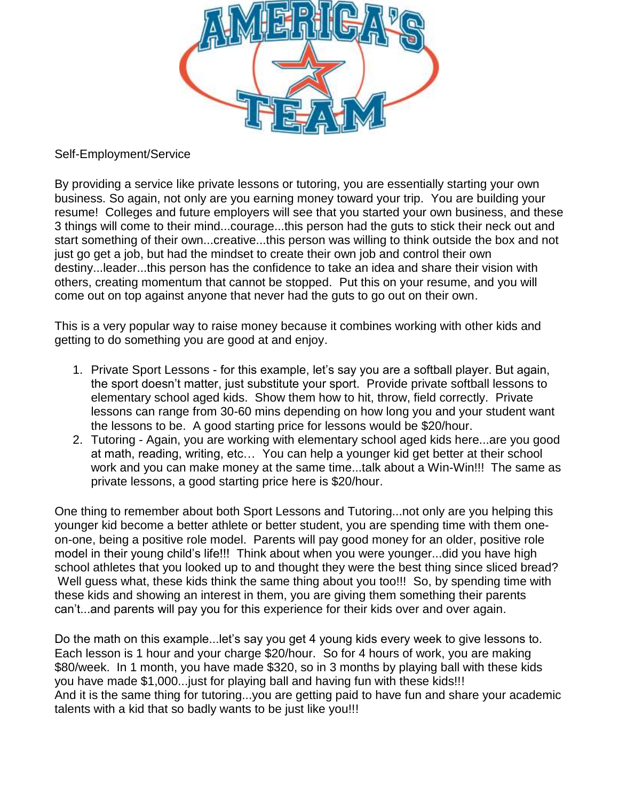

## Self-Employment/Service

By providing a service like private lessons or tutoring, you are essentially starting your own business. So again, not only are you earning money toward your trip. You are building your resume! Colleges and future employers will see that you started your own business, and these 3 things will come to their mind...courage...this person had the guts to stick their neck out and start something of their own...creative...this person was willing to think outside the box and not just go get a job, but had the mindset to create their own job and control their own destiny...leader...this person has the confidence to take an idea and share their vision with others, creating momentum that cannot be stopped. Put this on your resume, and you will come out on top against anyone that never had the guts to go out on their own.

This is a very popular way to raise money because it combines working with other kids and getting to do something you are good at and enjoy.

- 1. Private Sport Lessons for this example, let's say you are a softball player. But again, the sport doesn't matter, just substitute your sport. Provide private softball lessons to elementary school aged kids. Show them how to hit, throw, field correctly. Private lessons can range from 30-60 mins depending on how long you and your student want the lessons to be. A good starting price for lessons would be \$20/hour.
- 2. Tutoring Again, you are working with elementary school aged kids here...are you good at math, reading, writing, etc… You can help a younger kid get better at their school work and you can make money at the same time...talk about a Win-Win!!! The same as private lessons, a good starting price here is \$20/hour.

One thing to remember about both Sport Lessons and Tutoring...not only are you helping this younger kid become a better athlete or better student, you are spending time with them oneon-one, being a positive role model. Parents will pay good money for an older, positive role model in their young child's life!!! Think about when you were younger...did you have high school athletes that you looked up to and thought they were the best thing since sliced bread? Well guess what, these kids think the same thing about you too!!! So, by spending time with these kids and showing an interest in them, you are giving them something their parents can't...and parents will pay you for this experience for their kids over and over again.

Do the math on this example...let's say you get 4 young kids every week to give lessons to. Each lesson is 1 hour and your charge \$20/hour. So for 4 hours of work, you are making \$80/week. In 1 month, you have made \$320, so in 3 months by playing ball with these kids you have made \$1,000...just for playing ball and having fun with these kids!!! And it is the same thing for tutoring...you are getting paid to have fun and share your academic talents with a kid that so badly wants to be just like you!!!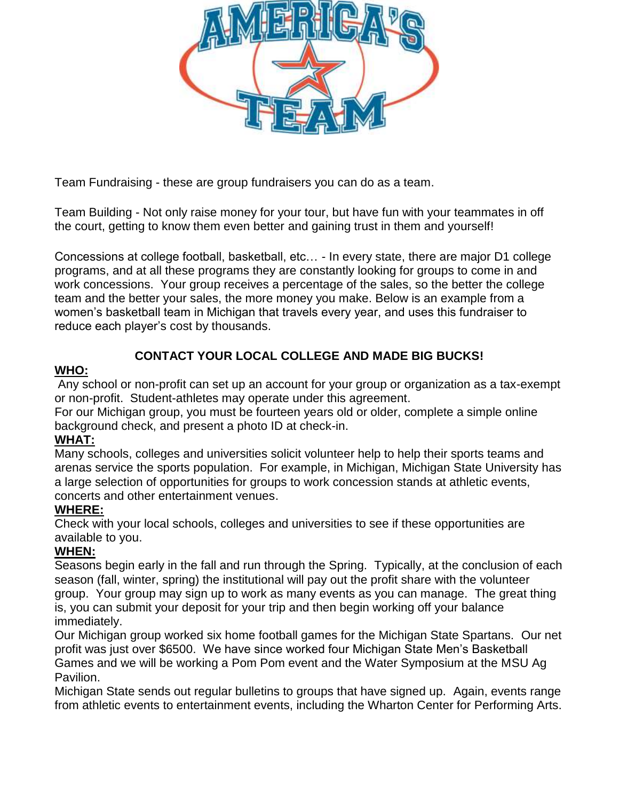

Team Fundraising - these are group fundraisers you can do as a team.

Team Building - Not only raise money for your tour, but have fun with your teammates in off the court, getting to know them even better and gaining trust in them and yourself!

Concessions at college football, basketball, etc… - In every state, there are major D1 college programs, and at all these programs they are constantly looking for groups to come in and work concessions. Your group receives a percentage of the sales, so the better the college team and the better your sales, the more money you make. Below is an example from a women's basketball team in Michigan that travels every year, and uses this fundraiser to reduce each player's cost by thousands.

# **CONTACT YOUR LOCAL COLLEGE AND MADE BIG BUCKS!**

# **WHO:**

Any school or non-profit can set up an account for your group or organization as a tax-exempt or non-profit. Student-athletes may operate under this agreement.

For our Michigan group, you must be fourteen years old or older, complete a simple online background check, and present a photo ID at check-in.

# **WHAT:**

Many schools, colleges and universities solicit volunteer help to help their sports teams and arenas service the sports population. For example, in Michigan, Michigan State University has a large selection of opportunities for groups to work concession stands at athletic events, concerts and other entertainment venues.

## **WHERE:**

Check with your local schools, colleges and universities to see if these opportunities are available to you.

# **WHEN:**

Seasons begin early in the fall and run through the Spring. Typically, at the conclusion of each season (fall, winter, spring) the institutional will pay out the profit share with the volunteer group. Your group may sign up to work as many events as you can manage. The great thing is, you can submit your deposit for your trip and then begin working off your balance immediately.

Our Michigan group worked six home football games for the Michigan State Spartans. Our net profit was just over \$6500. We have since worked four Michigan State Men's Basketball Games and we will be working a Pom Pom event and the Water Symposium at the MSU Ag Pavilion.

Michigan State sends out regular bulletins to groups that have signed up. Again, events range from athletic events to entertainment events, including the Wharton Center for Performing Arts.